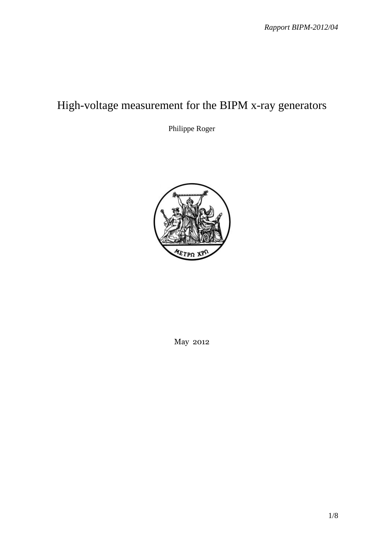# High-voltage measurement for the BIPM x-ray generators

Philippe Roger



May 2012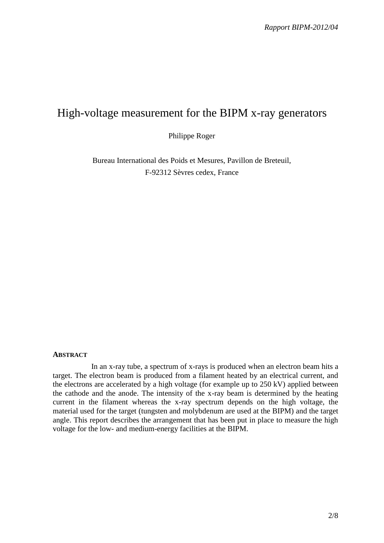# High-voltage measurement for the BIPM x-ray generators

Philippe Roger

Bureau International des Poids et Mesures, Pavillon de Breteuil, F-92312 Sèvres cedex, France

#### **ABSTRACT**

In an x-ray tube, a spectrum of x-rays is produced when an electron beam hits a target. The electron beam is produced from a filament heated by an electrical current, and the electrons are accelerated by a high voltage (for example up to 250 kV) applied between the cathode and the anode. The intensity of the x-ray beam is determined by the heating current in the filament whereas the x-ray spectrum depends on the high voltage, the material used for the target (tungsten and molybdenum are used at the BIPM) and the target angle. This report describes the arrangement that has been put in place to measure the high voltage for the low- and medium-energy facilities at the BIPM.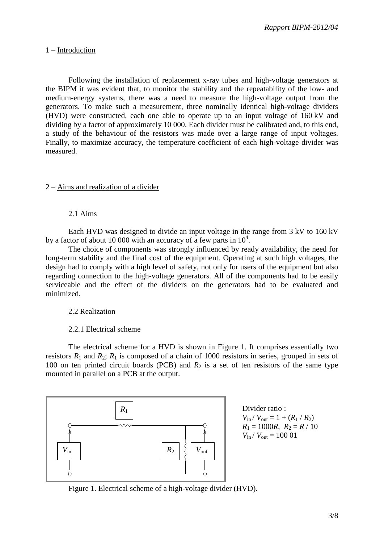#### 1 – Introduction

Following the installation of replacement x-ray tubes and high-voltage generators at the BIPM it was evident that, to monitor the stability and the repeatability of the low- and medium-energy systems, there was a need to measure the high-voltage output from the generators. To make such a measurement, three nominally identical high-voltage dividers (HVD) were constructed, each one able to operate up to an input voltage of 160 kV and dividing by a factor of approximately 10 000. Each divider must be calibrated and, to this end, a study of the behaviour of the resistors was made over a large range of input voltages. Finally, to maximize accuracy, the temperature coefficient of each high-voltage divider was measured.

#### 2 – Aims and realization of a divider

#### 2.1 Aims

Each HVD was designed to divide an input voltage in the range from 3 kV to 160 kV by a factor of about 10 000 with an accuracy of a few parts in  $10^4$ .

The choice of components was strongly influenced by ready availability, the need for long-term stability and the final cost of the equipment. Operating at such high voltages, the design had to comply with a high level of safety, not only for users of the equipment but also regarding connection to the high-voltage generators. All of the components had to be easily serviceable and the effect of the dividers on the generators had to be evaluated and minimized.

#### 2.2 Realization

#### 2.2.1 Electrical scheme

The electrical scheme for a HVD is shown in Figure 1. It comprises essentially two resistors  $R_1$  and  $R_2$ ;  $R_1$  is composed of a chain of 1000 resistors in series, grouped in sets of 100 on ten printed circuit boards (PCB) and  $R_2$  is a set of ten resistors of the same type mounted in parallel on a PCB at the output.



Divider ratio :  $V_{\text{in}} / V_{\text{out}} = 1 + (R_1 / R_2)$  $R_1 = 1000R$ ,  $R_2 = R / 10$  $V_{\text{in}}/V_{\text{out}} = 10001$ 

Figure 1. Electrical scheme of a high-voltage divider (HVD).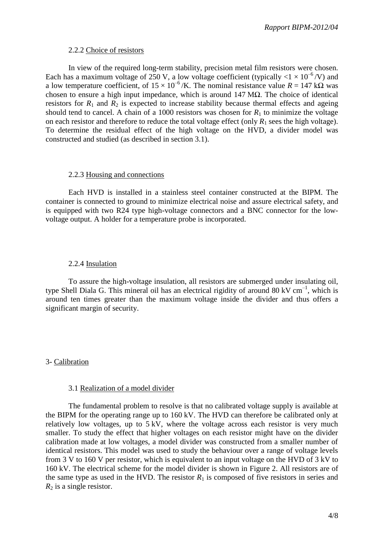#### 2.2.2 Choice of resistors

In view of the required long-term stability, precision metal film resistors were chosen. Each has a maximum voltage of 250 V, a low voltage coefficient (typically  $\langle 1 \times 10^{-6} / V \rangle$  and a low temperature coefficient, of  $15 \times 10^{-6}$  /K. The nominal resistance value  $R = 147$  kQ was chosen to ensure a high input impedance, which is around 147 M $\Omega$ . The choice of identical resistors for  $R_1$  and  $R_2$  is expected to increase stability because thermal effects and ageing should tend to cancel. A chain of a 1000 resistors was chosen for  $R_1$  to minimize the voltage on each resistor and therefore to reduce the total voltage effect (only  $R_1$  sees the high voltage). To determine the residual effect of the high voltage on the HVD, a divider model was constructed and studied (as described in section 3.1).

#### 2.2.3 Housing and connections

Each HVD is installed in a stainless steel container constructed at the BIPM. The container is connected to ground to minimize electrical noise and assure electrical safety, and is equipped with two R24 type high-voltage connectors and a BNC connector for the lowvoltage output. A holder for a temperature probe is incorporated.

#### 2.2.4 Insulation

To assure the high-voltage insulation, all resistors are submerged under insulating oil, type Shell Diala G. This mineral oil has an electrical rigidity of around  $80 \text{ kV cm}^{-1}$ , which is around ten times greater than the maximum voltage inside the divider and thus offers a significant margin of security.

## 3- Calibration

#### 3.1 Realization of a model divider

The fundamental problem to resolve is that no calibrated voltage supply is available at the BIPM for the operating range up to 160 kV. The HVD can therefore be calibrated only at relatively low voltages, up to 5 kV, where the voltage across each resistor is very much smaller. To study the effect that higher voltages on each resistor might have on the divider calibration made at low voltages, a model divider was constructed from a smaller number of identical resistors. This model was used to study the behaviour over a range of voltage levels from 3 V to 160 V per resistor, which is equivalent to an input voltage on the HVD of 3 kV to 160 kV. The electrical scheme for the model divider is shown in Figure 2. All resistors are of the same type as used in the HVD. The resistor  $R_1$  is composed of five resistors in series and  $R_2$  is a single resistor.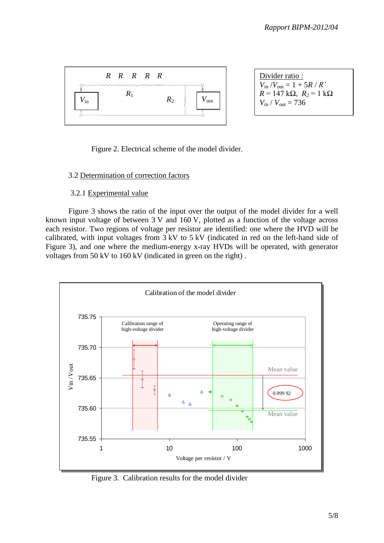

Divider ratio :  

$$
V_{\text{in}}/V_{\text{out}} = 1 + 5R/R'
$$
  
 $R = 147 \text{ k}\Omega$ ,  $R_2 = 1 \text{ k}\Omega$   
 $V_{\text{in}}/V_{\text{out}} = 736$ 

Figure 2. Electrical scheme of the model divider.

## 3.2 Determination of correction factors

#### 3.2.1 Experimental value

Figure 3 shows the ratio of the input over the output of the model divider for a well known input voltage of between 3 V and 160 V, plotted as a function of the voltage across each resistor. Two regions of voltage per resistor are identified: one where the HVD will be calibrated, with input voltages from 3 kV to 5 kV (indicated in red on the left-hand side of Figure 3), and one where the medium-energy x-ray HVDs will be operated, with generator voltages from 50 kV to 160 kV (indicated in green on the right) .



Figure 3. Calibration results for the model divider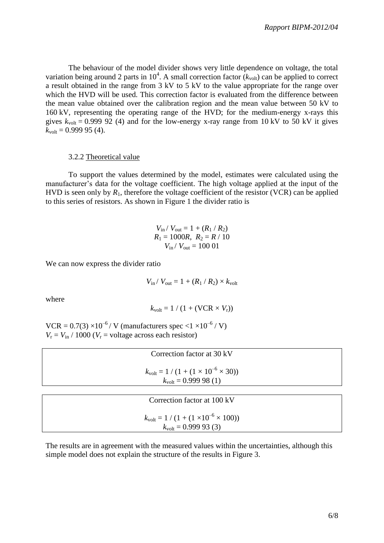The behaviour of the model divider shows very little dependence on voltage, the total variation being around 2 parts in  $10^4$ . A small correction factor  $(k_{volt})$  can be applied to correct a result obtained in the range from 3 kV to 5 kV to the value appropriate for the range over which the HVD will be used. This correction factor is evaluated from the difference between the mean value obtained over the calibration region and the mean value between 50 kV to 160 kV, representing the operating range of the HVD; for the medium-energy x-rays this gives  $k_{\text{volt}} = 0.999$  92 (4) and for the low-energy x-ray range from 10 kV to 50 kV it gives  $k_{\text{volt}} = 0.99995(4)$ .

#### 3.2.2 Theoretical value

To support the values determined by the model, estimates were calculated using the manufacturer's data for the voltage coefficient. The high voltage applied at the input of the HVD is seen only by  $R_1$ , therefore the voltage coefficient of the resistor (VCR) can be applied to this series of resistors. As shown in Figure 1 the divider ratio is

$$
V_{\text{in}} / V_{\text{out}} = 1 + (R_1 / R_2)
$$
  
R<sub>1</sub> = 1000R, R<sub>2</sub> = R / 10  
V<sub>in</sub> / V<sub>out</sub> = 100 01

We can now express the divider ratio

$$
V_{\text{in}} / V_{\text{out}} = 1 + (R_1 / R_2) \times k_{\text{volt}}
$$

where

$$
k_{\text{volt}} = 1 / (1 + (\text{VCR} \times V_{\text{r}}))
$$

 $VCR = 0.7(3) \times 10^{-6} / V$  (manufacturers spec <1  $\times 10^{-6} / V$ )  $V_r = V_{in} / 1000$  ( $V_r$  = voltage across each resistor)

| Correction factor at 30 kV                                                                   |  |
|----------------------------------------------------------------------------------------------|--|
| $k_{\text{volt}} = 1 / (1 + (1 \times 10^{-6} \times 30))$<br>$k_{\text{volt}} = 0.99998(1)$ |  |
|                                                                                              |  |
| Correction factor at 100 kV                                                                  |  |

$$
k_{\text{volt}} = 1 / (1 + (1 \times 10^{-6} \times 100))
$$
  

$$
k_{\text{volt}} = 0.999933(3)
$$

The results are in agreement with the measured values within the uncertainties, although this simple model does not explain the structure of the results in Figure 3.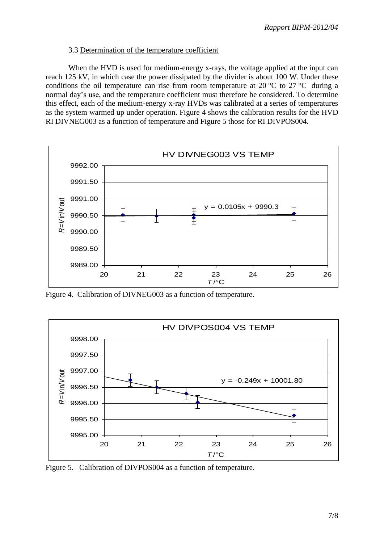#### 3.3 Determination of the temperature coefficient

When the HVD is used for medium-energy x-rays, the voltage applied at the input can reach 125 kV, in which case the power dissipated by the divider is about 100 W. Under these conditions the oil temperature can rise from room temperature at 20 °C to 27 °C during a normal day's use, and the temperature coefficient must therefore be considered. To determine this effect, each of the medium-energy x-ray HVDs was calibrated at a series of temperatures as the system warmed up under operation. Figure 4 shows the calibration results for the HVD RI DIVNEG003 as a function of temperature and Figure 5 those for RI DIVPOS004.



Figure 4. Calibration of DIVNEG003 as a function of temperature.



Figure 5. Calibration of DIVPOS004 as a function of temperature.